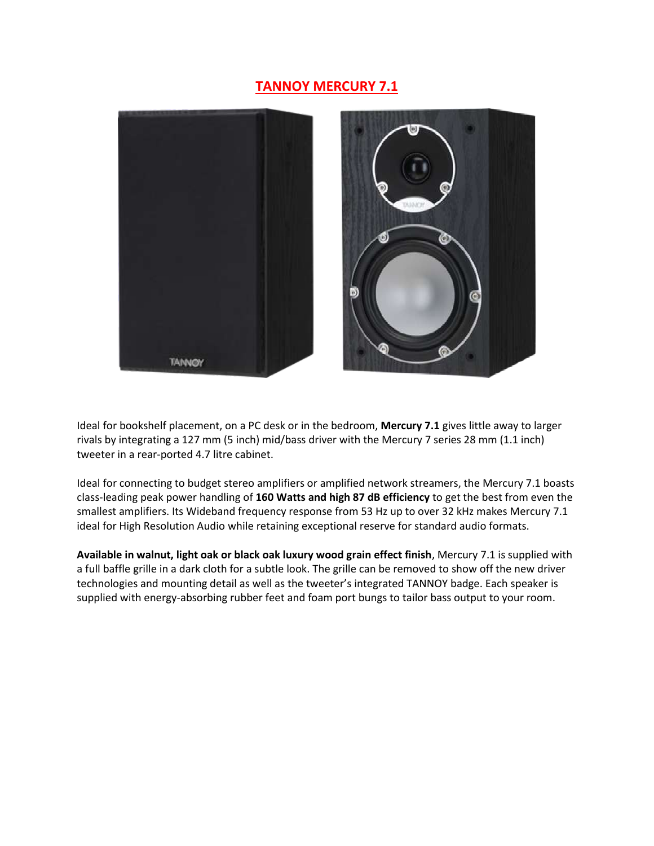## **TANNOY MERCURY 7.1**



Ideal for bookshelf placement, on a PC desk or in the bedroom, **Mercury 7.1** gives little away to larger rivals by integrating a 127 mm (5 inch) mid/bass driver with the Mercury 7 series 28 mm (1.1 inch) tweeter in a rear-ported 4.7 litre cabinet.

Ideal for connecting to budget stereo amplifiers or amplified network streamers, the Mercury 7.1 boasts class-leading peak power handling of **160 Watts and high 87 dB efficiency** to get the best from even the smallest amplifiers. Its Wideband frequency response from 53 Hz up to over 32 kHz makes Mercury 7.1 ideal for High Resolution Audio while retaining exceptional reserve for standard audio formats.

**Available in walnut, light oak or black oak luxury wood grain effect finish**, Mercury 7.1 is supplied with a full baffle grille in a dark cloth for a subtle look. The grille can be removed to show off the new driver technologies and mounting detail as well as the tweeter's integrated TANNOY badge. Each speaker is supplied with energy-absorbing rubber feet and foam port bungs to tailor bass output to your room.